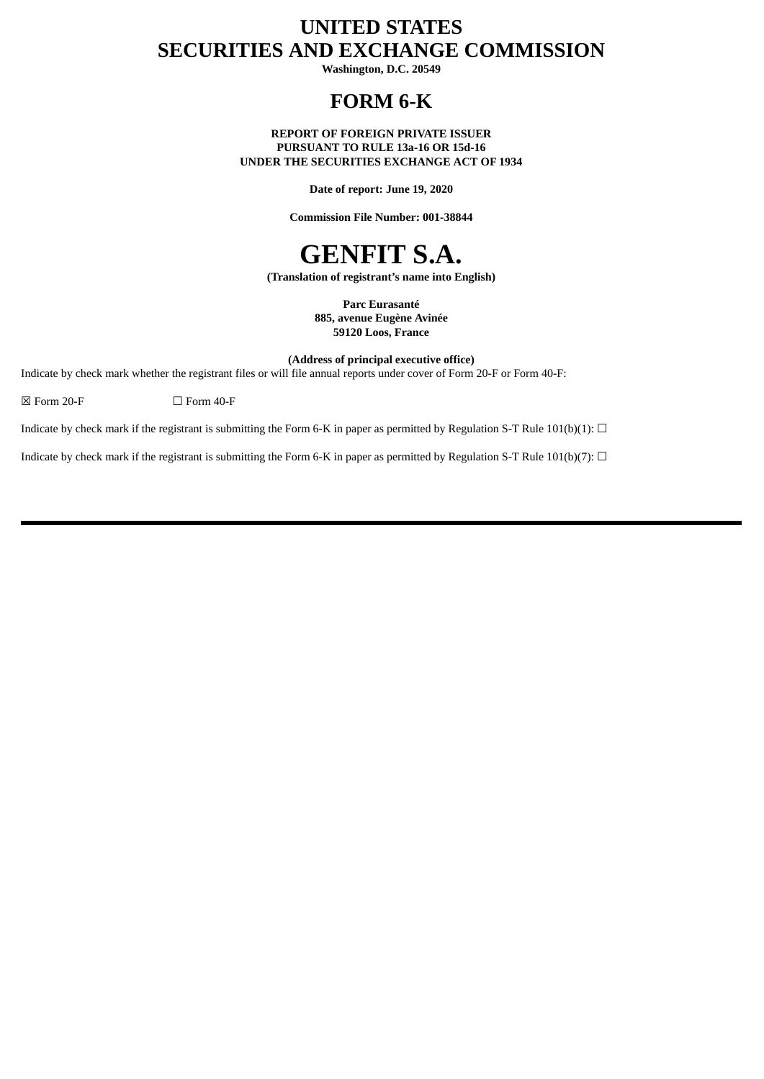# **UNITED STATES SECURITIES AND EXCHANGE COMMISSION**

**Washington, D.C. 20549**

# **FORM 6-K**

**REPORT OF FOREIGN PRIVATE ISSUER PURSUANT TO RULE 13a-16 OR 15d-16 UNDER THE SECURITIES EXCHANGE ACT OF 1934**

**Date of report: June 19, 2020**

**Commission File Number: 001-38844**

# **GENFIT S.A.**

**(Translation of registrant's name into English)**

**Parc Eurasanté 885, avenue Eugène Avinée 59120 Loos, France**

**(Address of principal executive office)**

Indicate by check mark whether the registrant files or will file annual reports under cover of Form 20-F or Form 40-F:

 $\boxtimes$  Form 20-F  $\Box$  Form 40-F

Indicate by check mark if the registrant is submitting the Form 6-K in paper as permitted by Regulation S-T Rule 101(b)(1):  $\Box$ 

Indicate by check mark if the registrant is submitting the Form 6-K in paper as permitted by Regulation S-T Rule 101(b)(7):  $\Box$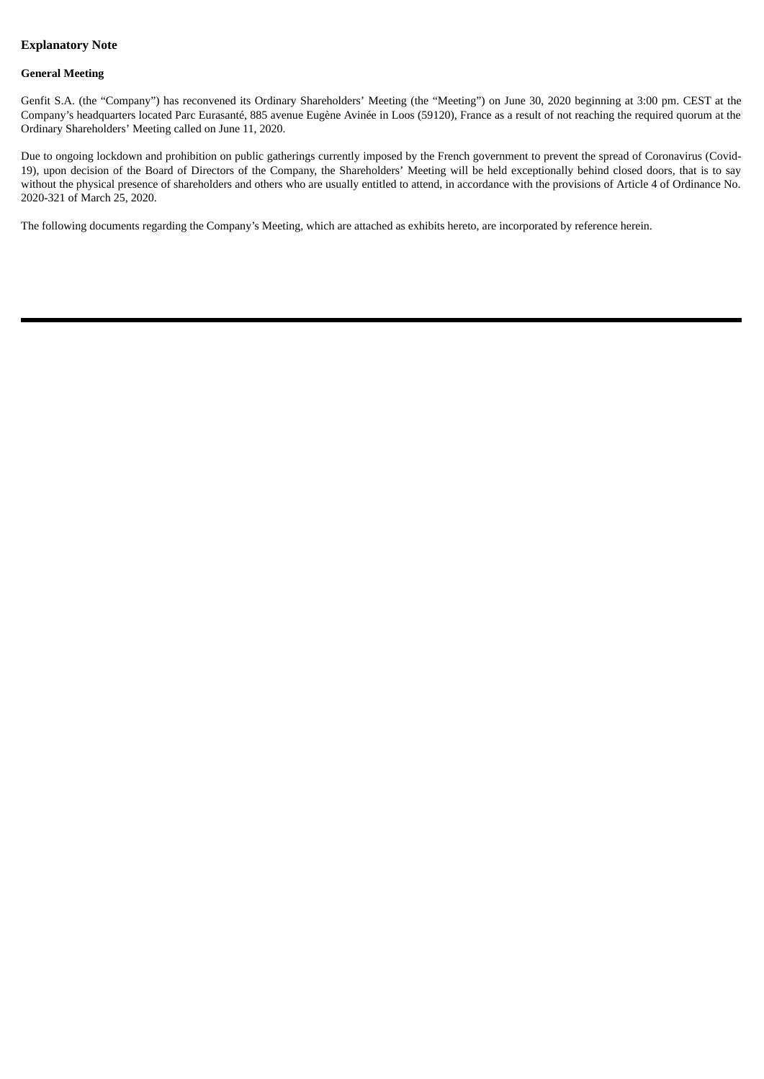### **Explanatory Note**

#### **General Meeting**

Genfit S.A. (the "Company") has reconvened its Ordinary Shareholders' Meeting (the "Meeting") on June 30, 2020 beginning at 3:00 pm. CEST at the Company's headquarters located Parc Eurasanté, 885 avenue Eugène Avinée in Loos (59120), France as a result of not reaching the required quorum at the Ordinary Shareholders' Meeting called on June 11, 2020.

Due to ongoing lockdown and prohibition on public gatherings currently imposed by the French government to prevent the spread of Coronavirus (Covid-19), upon decision of the Board of Directors of the Company, the Shareholders' Meeting will be held exceptionally behind closed doors, that is to say without the physical presence of shareholders and others who are usually entitled to attend, in accordance with the provisions of Article 4 of Ordinance No. 2020-321 of March 25, 2020.

The following documents regarding the Company's Meeting, which are attached as exhibits hereto, are incorporated by reference herein.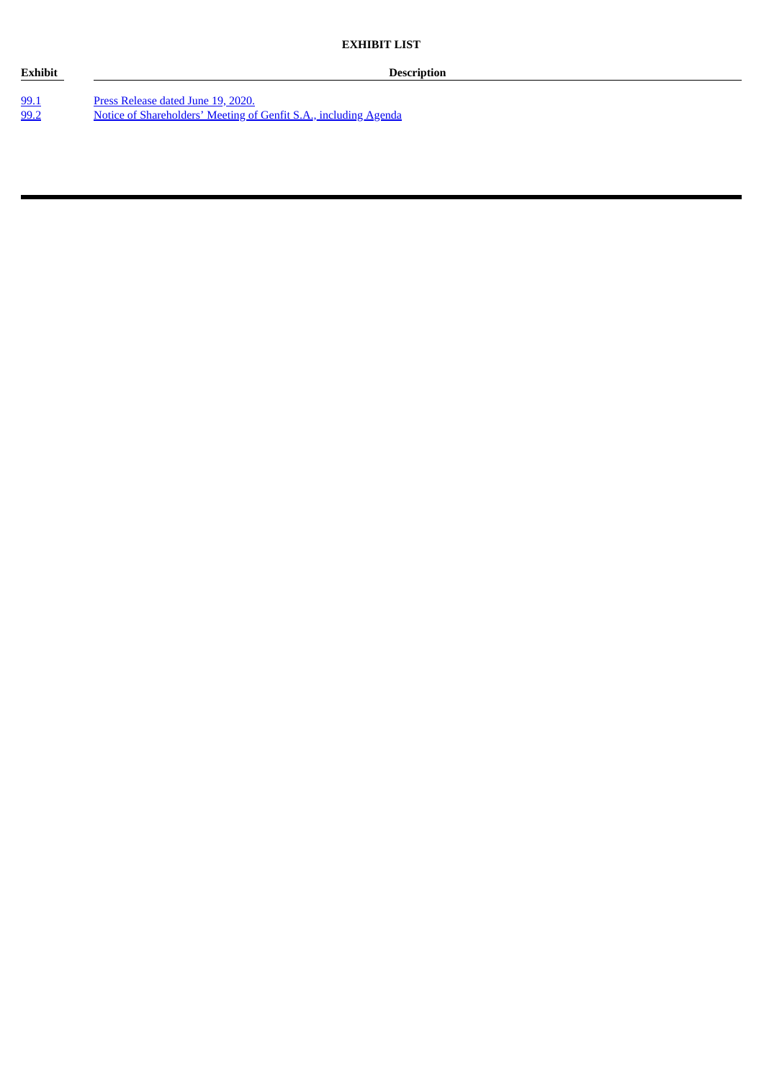**Exhibit Description**

[99.1](#page-4-0) **Press [Release](#page-4-0) dated June 19, 2020.** [99.2](#page-7-0) Notice of [Shareholders'](#page-7-0) Meeting of Genfit S.A., including Agenda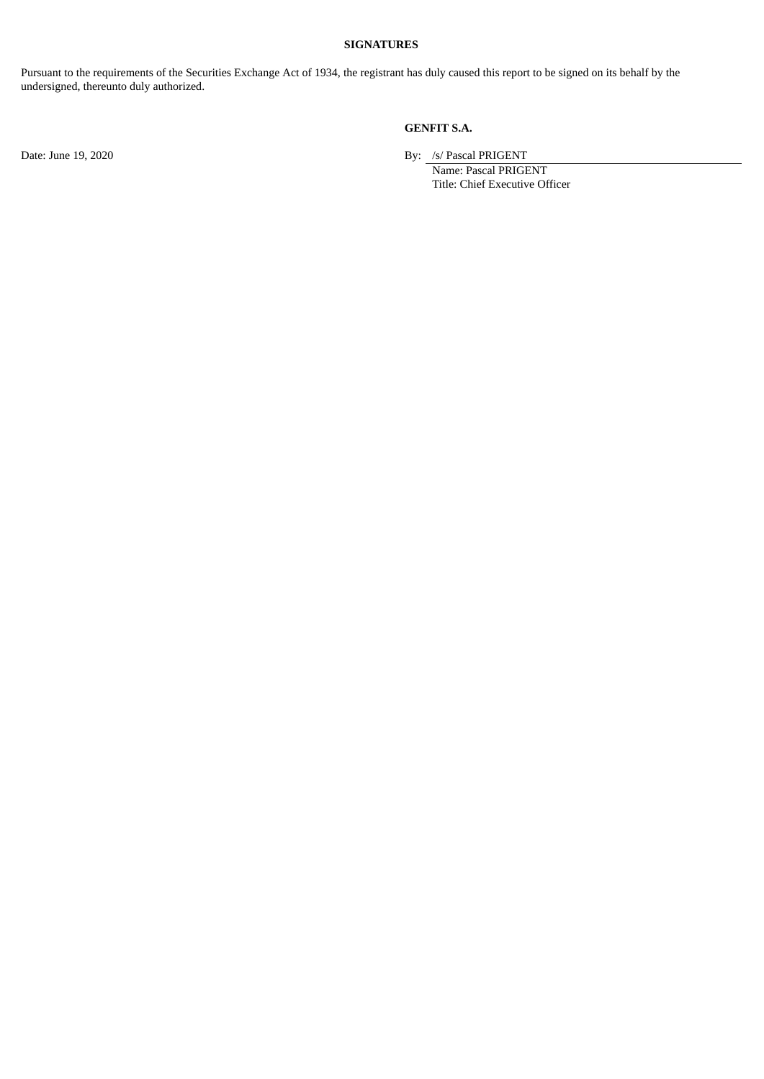#### **SIGNATURES**

Pursuant to the requirements of the Securities Exchange Act of 1934, the registrant has duly caused this report to be signed on its behalf by the undersigned, thereunto duly authorized.

**GENFIT S.A.**

Date: June 19, 2020 By: /s/ Pascal PRIGENT

Name: Pascal PRIGENT Title: Chief Executive Officer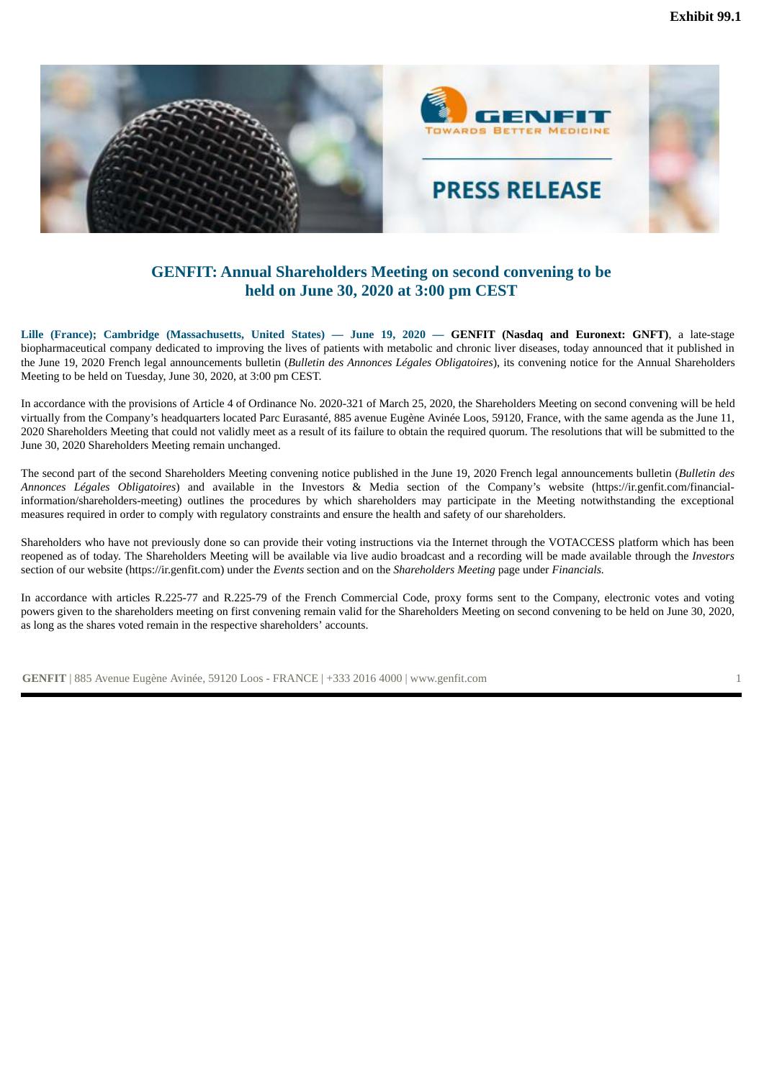<span id="page-4-0"></span>

## **GENFIT: Annual Shareholders Meeting on second convening to be held on June 30, 2020 at 3:00 pm CEST**

Lille (France): Cambridge (Massachusetts, United States) — June 19, 2020 — GENFIT (Nasdaq and Euronext: GNFT), a late-stage biopharmaceutical company dedicated to improving the lives of patients with metabolic and chronic liver diseases, today announced that it published in the June 19, 2020 French legal announcements bulletin (*Bulletin des Annonces Légales Obligatoires*), its convening notice for the Annual Shareholders Meeting to be held on Tuesday, June 30, 2020, at 3:00 pm CEST.

In accordance with the provisions of Article 4 of Ordinance No. 2020-321 of March 25, 2020, the Shareholders Meeting on second convening will be held virtually from the Company's headquarters located Parc Eurasanté, 885 avenue Eugène Avinée Loos, 59120, France, with the same agenda as the June 11, 2020 Shareholders Meeting that could not validly meet as a result of its failure to obtain the required quorum. The resolutions that will be submitted to the June 30, 2020 Shareholders Meeting remain unchanged.

The second part of the second Shareholders Meeting convening notice published in the June 19, 2020 French legal announcements bulletin (*Bulletin des Annonces Légales Obligatoires*) and available in the Investors & Media section of the Company's website (https://ir.genfit.com/financialinformation/shareholders-meeting) outlines the procedures by which shareholders may participate in the Meeting notwithstanding the exceptional measures required in order to comply with regulatory constraints and ensure the health and safety of our shareholders.

Shareholders who have not previously done so can provide their voting instructions via the Internet through the VOTACCESS platform which has been reopened as of today. The Shareholders Meeting will be available via live audio broadcast and a recording will be made available through the *Investors* section of our website (https://ir.genfit.com) under the *Events* section and on the *Shareholders Meeting* page under *Financials.*

In accordance with articles R.225-77 and R.225-79 of the French Commercial Code, proxy forms sent to the Company, electronic votes and voting powers given to the shareholders meeting on first convening remain valid for the Shareholders Meeting on second convening to be held on June 30, 2020, as long as the shares voted remain in the respective shareholders' accounts.

**GENFIT** | 885 Avenue Eugène Avinée, 59120 Loos - FRANCE | +333 2016 4000 | www.genfit.com 1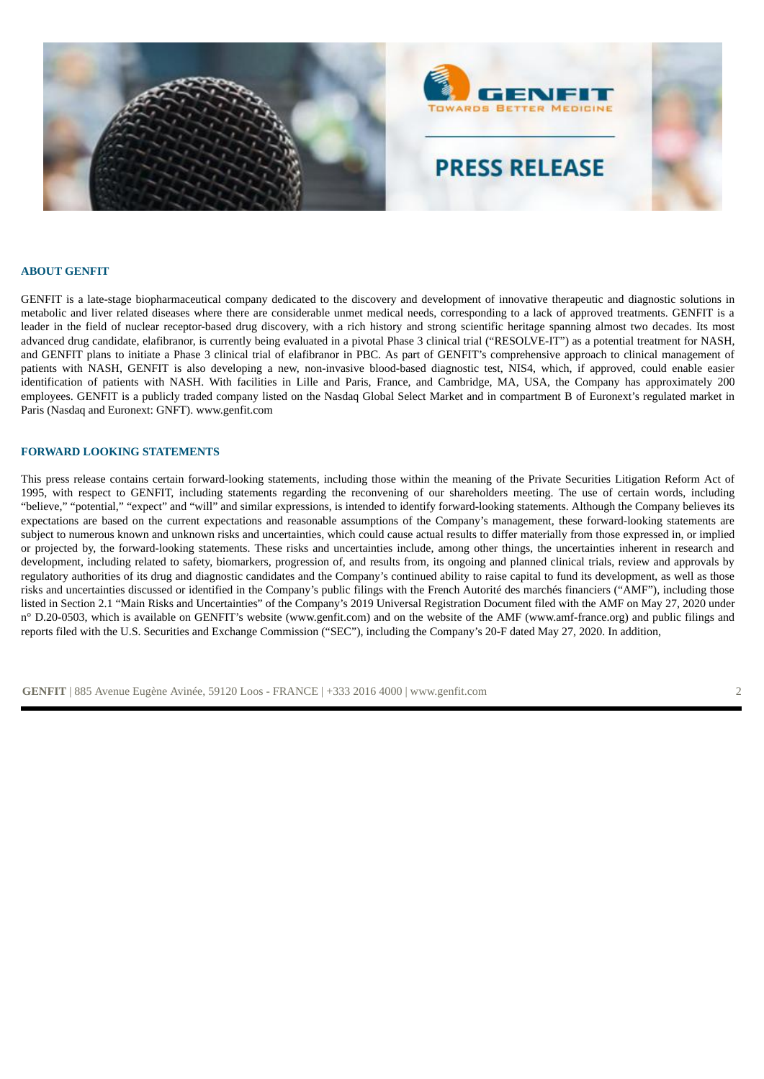

#### **ABOUT GENFIT**

GENFIT is a late-stage biopharmaceutical company dedicated to the discovery and development of innovative therapeutic and diagnostic solutions in metabolic and liver related diseases where there are considerable unmet medical needs, corresponding to a lack of approved treatments. GENFIT is a leader in the field of nuclear receptor-based drug discovery, with a rich history and strong scientific heritage spanning almost two decades. Its most advanced drug candidate, elafibranor, is currently being evaluated in a pivotal Phase 3 clinical trial ("RESOLVE-IT") as a potential treatment for NASH, and GENFIT plans to initiate a Phase 3 clinical trial of elafibranor in PBC. As part of GENFIT's comprehensive approach to clinical management of patients with NASH, GENFIT is also developing a new, non-invasive blood-based diagnostic test, NIS4, which, if approved, could enable easier identification of patients with NASH. With facilities in Lille and Paris, France, and Cambridge, MA, USA, the Company has approximately 200 employees. GENFIT is a publicly traded company listed on the Nasdaq Global Select Market and in compartment B of Euronext's regulated market in Paris (Nasdaq and Euronext: GNFT). www.genfit.com

#### **FORWARD LOOKING STATEMENTS**

This press release contains certain forward-looking statements, including those within the meaning of the Private Securities Litigation Reform Act of 1995, with respect to GENFIT, including statements regarding the reconvening of our shareholders meeting. The use of certain words, including "believe," "potential," "expect" and "will" and similar expressions, is intended to identify forward-looking statements. Although the Company believes its expectations are based on the current expectations and reasonable assumptions of the Company's management, these forward-looking statements are subject to numerous known and unknown risks and uncertainties, which could cause actual results to differ materially from those expressed in, or implied or projected by, the forward-looking statements. These risks and uncertainties include, among other things, the uncertainties inherent in research and development, including related to safety, biomarkers, progression of, and results from, its ongoing and planned clinical trials, review and approvals by regulatory authorities of its drug and diagnostic candidates and the Company's continued ability to raise capital to fund its development, as well as those risks and uncertainties discussed or identified in the Company's public filings with the French Autorité des marchés financiers ("AMF"), including those listed in Section 2.1 "Main Risks and Uncertainties" of the Company's 2019 Universal Registration Document filed with the AMF on May 27, 2020 under n° D.20-0503, which is available on GENFIT's website (www.genfit.com) and on the website of the AMF (www.amf-france.org) and public filings and reports filed with the U.S. Securities and Exchange Commission ("SEC"), including the Company's 20-F dated May 27, 2020. In addition,

**GENFIT** | 885 Avenue Eugène Avinée, 59120 Loos - FRANCE | +333 2016 4000 | www.genfit.com 2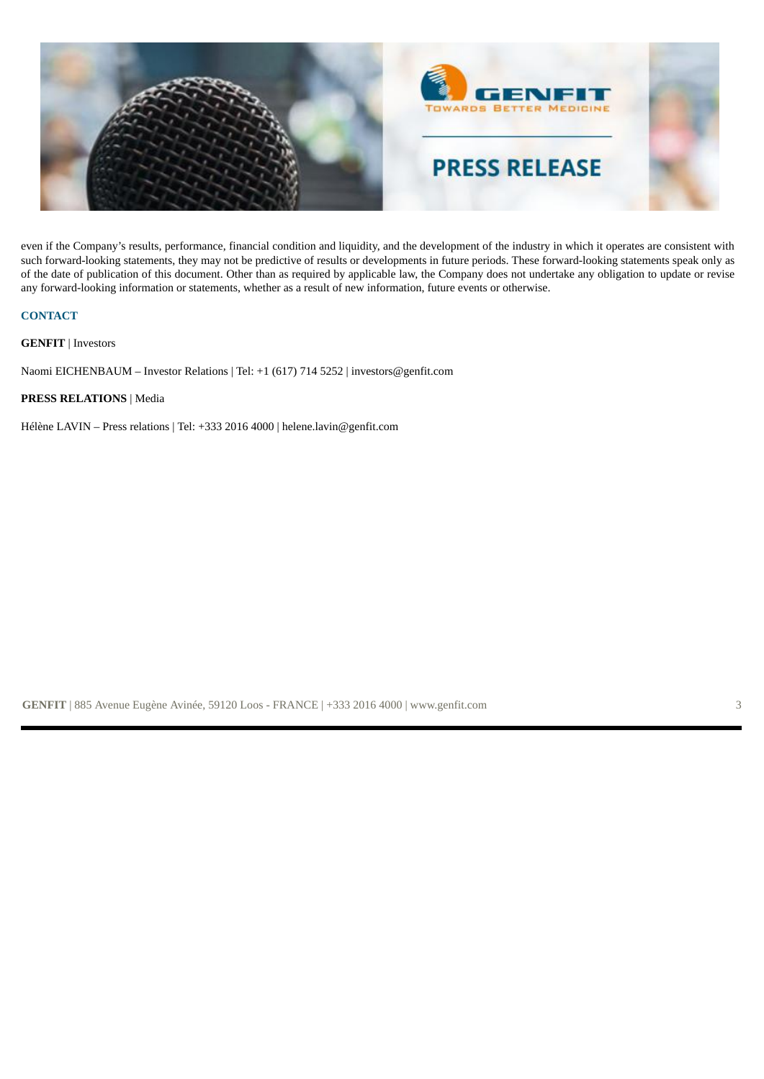

even if the Company's results, performance, financial condition and liquidity, and the development of the industry in which it operates are consistent with such forward-looking statements, they may not be predictive of results or developments in future periods. These forward-looking statements speak only as of the date of publication of this document. Other than as required by applicable law, the Company does not undertake any obligation to update or revise any forward-looking information or statements, whether as a result of new information, future events or otherwise.

#### **CONTACT**

**GENFIT** | Investors

Naomi EICHENBAUM – Investor Relations | Tel: +1 (617) 714 5252 | investors@genfit.com

#### **PRESS RELATIONS** | Media

Hélène LAVIN – Press relations | Tel: +333 2016 4000 | helene.lavin@genfit.com

**GENFIT** | 885 Avenue Eugène Avinée, 59120 Loos - FRANCE | +333 2016 4000 | www.genfit.com 3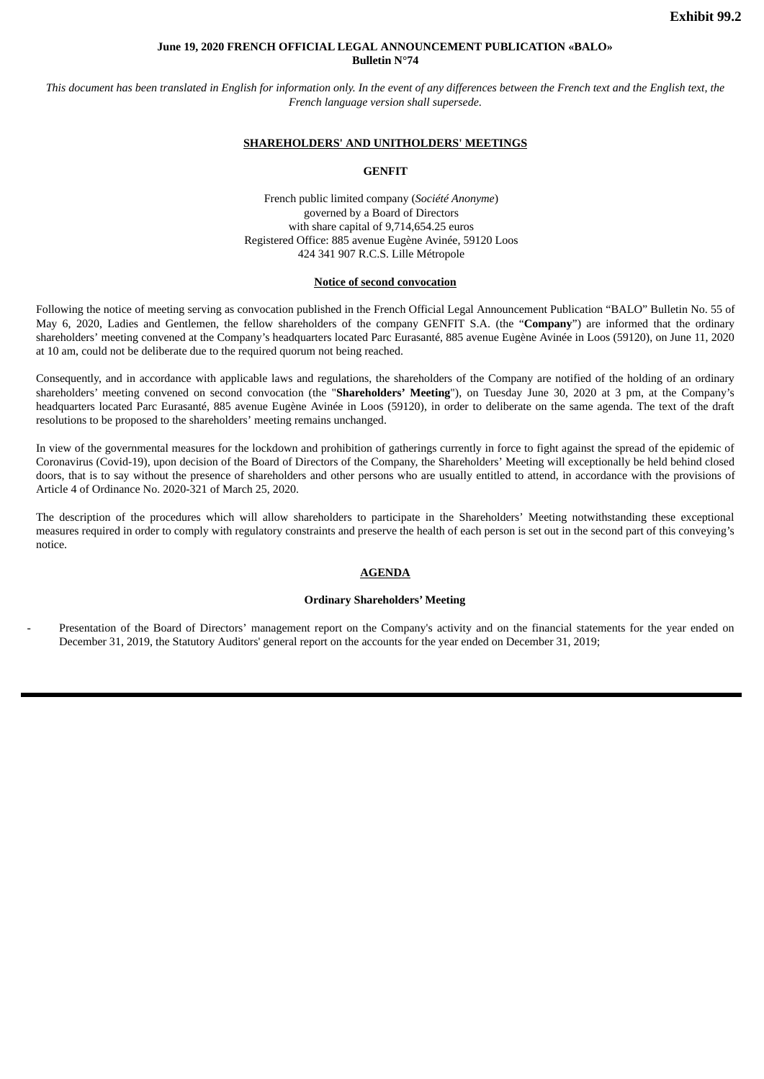#### **June 19, 2020 FRENCH OFFICIAL LEGAL ANNOUNCEMENT PUBLICATION «BALO» Bulletin N°74**

<span id="page-7-0"></span>This document has been translated in English for information only. In the event of any differences between the French text and the English text, the *French language version shall supersede*.

#### **SHAREHOLDERS' AND UNITHOLDERS' MEETINGS**

#### **GENFIT**

French public limited company (*Société Anonyme*) governed by a Board of Directors with share capital of 9,714,654.25 euros Registered Office: 885 avenue Eugène Avinée, 59120 Loos 424 341 907 R.C.S. Lille Métropole

#### **Notice of second convocation**

Following the notice of meeting serving as convocation published in the French Official Legal Announcement Publication "BALO" Bulletin No. 55 of May 6, 2020, Ladies and Gentlemen, the fellow shareholders of the company GENFIT S.A. (the "**Company**") are informed that the ordinary shareholders' meeting convened at the Company's headquarters located Parc Eurasanté, 885 avenue Eugène Avinée in Loos (59120), on June 11, 2020 at 10 am, could not be deliberate due to the required quorum not being reached.

Consequently, and in accordance with applicable laws and regulations, the shareholders of the Company are notified of the holding of an ordinary shareholders' meeting convened on second convocation (the "**Shareholders' Meeting**"), on Tuesday June 30, 2020 at 3 pm, at the Company's headquarters located Parc Eurasanté, 885 avenue Eugène Avinée in Loos (59120), in order to deliberate on the same agenda. The text of the draft resolutions to be proposed to the shareholders' meeting remains unchanged.

In view of the governmental measures for the lockdown and prohibition of gatherings currently in force to fight against the spread of the epidemic of Coronavirus (Covid-19), upon decision of the Board of Directors of the Company, the Shareholders' Meeting will exceptionally be held behind closed doors, that is to say without the presence of shareholders and other persons who are usually entitled to attend, in accordance with the provisions of Article 4 of Ordinance No. 2020-321 of March 25, 2020.

The description of the procedures which will allow shareholders to participate in the Shareholders' Meeting notwithstanding these exceptional measures required in order to comply with regulatory constraints and preserve the health of each person is set out in the second part of this conveying's notice.

#### **AGENDA**

#### **Ordinary Shareholders' Meeting**

Presentation of the Board of Directors' management report on the Company's activity and on the financial statements for the year ended on December 31, 2019, the Statutory Auditors' general report on the accounts for the year ended on December 31, 2019;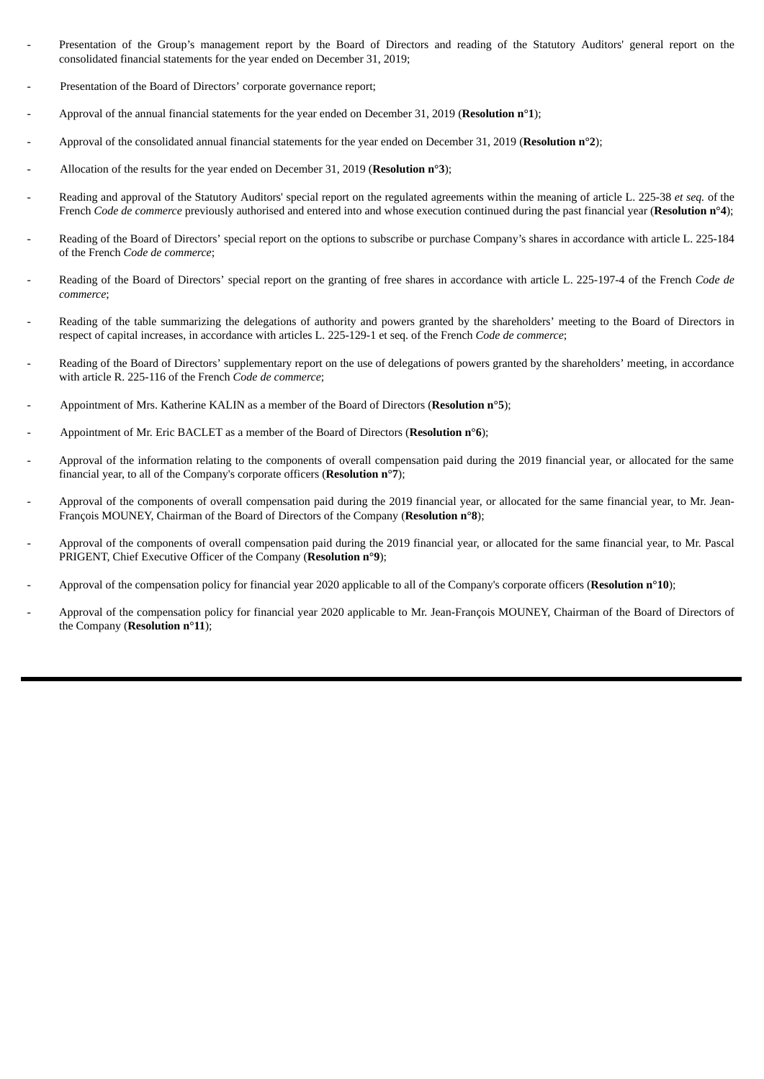- Presentation of the Group's management report by the Board of Directors and reading of the Statutory Auditors' general report on the consolidated financial statements for the year ended on December 31, 2019;
- Presentation of the Board of Directors' corporate governance report;
- Approval of the annual financial statements for the year ended on December 31, 2019 (**Resolution n°1**);
- Approval of the consolidated annual financial statements for the year ended on December 31, 2019 (**Resolution n°2**);
- Allocation of the results for the year ended on December 31, 2019 (**Resolution n°3**);
- Reading and approval of the Statutory Auditors' special report on the regulated agreements within the meaning of article L. 225-38 *et seq.* of the French *Code de commerce* previously authorised and entered into and whose execution continued during the past financial year (**Resolution n°4**);
- Reading of the Board of Directors' special report on the options to subscribe or purchase Company's shares in accordance with article L. 225-184 of the French *Code de commerce*;
- Reading of the Board of Directors' special report on the granting of free shares in accordance with article L. 225-197-4 of the French *Code de commerce*;
- Reading of the table summarizing the delegations of authority and powers granted by the shareholders' meeting to the Board of Directors in respect of capital increases, in accordance with articles L. 225-129-1 et seq. of the French *Code de commerce*;
- Reading of the Board of Directors' supplementary report on the use of delegations of powers granted by the shareholders' meeting, in accordance with article R. 225-116 of the French *Code de commerce*;
- Appointment of Mrs. Katherine KALIN as a member of the Board of Directors (**Resolution n°5**);
- Appointment of Mr. Eric BACLET as a member of the Board of Directors (**Resolution n°6**);
- Approval of the information relating to the components of overall compensation paid during the 2019 financial year, or allocated for the same financial year, to all of the Company's corporate officers (**Resolution n°7**);
- Approval of the components of overall compensation paid during the 2019 financial year, or allocated for the same financial year, to Mr. Jean-François MOUNEY, Chairman of the Board of Directors of the Company (**Resolution n°8**);
- Approval of the components of overall compensation paid during the 2019 financial year, or allocated for the same financial year, to Mr. Pascal PRIGENT, Chief Executive Officer of the Company (**Resolution n°9**);
- Approval of the compensation policy for financial year 2020 applicable to all of the Company's corporate officers (**Resolution n°10**);
- Approval of the compensation policy for financial year 2020 applicable to Mr. Jean-François MOUNEY, Chairman of the Board of Directors of the Company (**Resolution n°11**);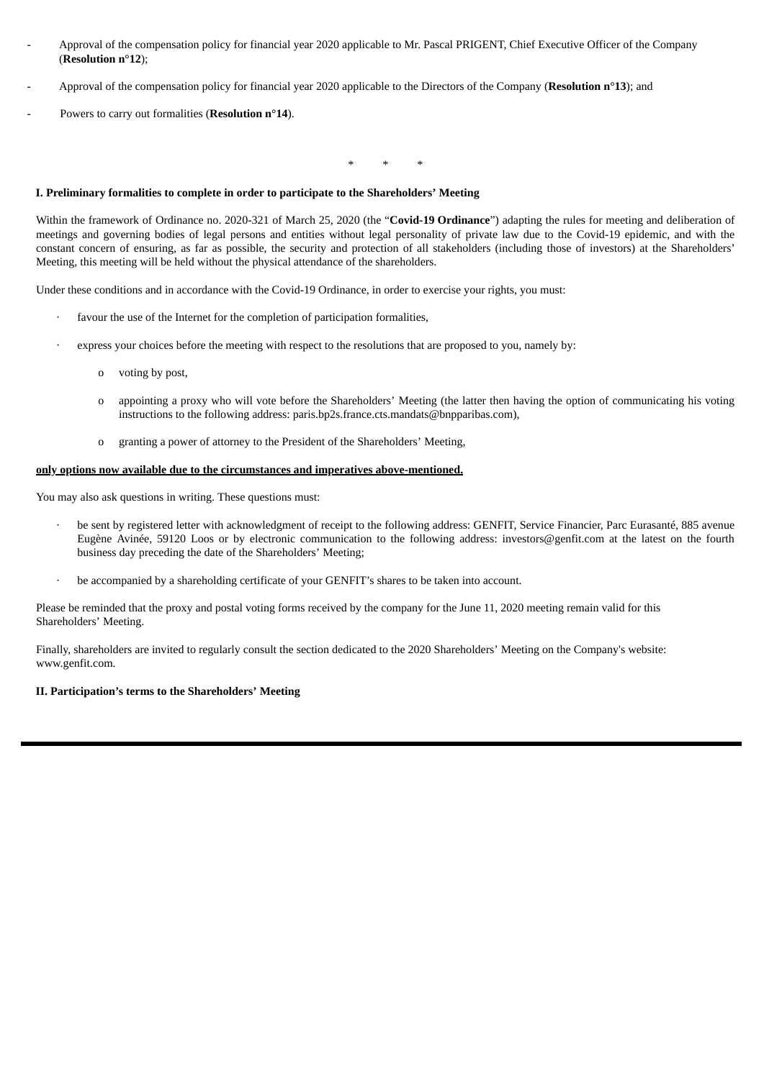- Approval of the compensation policy for financial year 2020 applicable to Mr. Pascal PRIGENT, Chief Executive Officer of the Company (**Resolution n°12**);
- Approval of the compensation policy for financial year 2020 applicable to the Directors of the Company (**Resolution n°13**); and
- Powers to carry out formalities (**Resolution n°14**).

\* \* \*

#### **I. Preliminary formalities to complete in order to participate to the Shareholders' Meeting**

Within the framework of Ordinance no. 2020-321 of March 25, 2020 (the "**Covid-19 Ordinance**") adapting the rules for meeting and deliberation of meetings and governing bodies of legal persons and entities without legal personality of private law due to the Covid-19 epidemic, and with the constant concern of ensuring, as far as possible, the security and protection of all stakeholders (including those of investors) at the Shareholders' Meeting, this meeting will be held without the physical attendance of the shareholders.

Under these conditions and in accordance with the Covid-19 Ordinance, in order to exercise your rights, you must:

- favour the use of the Internet for the completion of participation formalities,
- express your choices before the meeting with respect to the resolutions that are proposed to you, namely by:
	- o voting by post,
	- o appointing a proxy who will vote before the Shareholders' Meeting (the latter then having the option of communicating his voting instructions to the following address: paris.bp2s.france.cts.mandats@bnpparibas.com),
	- o granting a power of attorney to the President of the Shareholders' Meeting,

#### **only options now available due to the circumstances and imperatives above-mentioned.**

You may also ask questions in writing. These questions must:

- be sent by registered letter with acknowledgment of receipt to the following address: GENFIT, Service Financier, Parc Eurasanté, 885 avenue Eugène Avinée, 59120 Loos or by electronic communication to the following address: investors@genfit.com at the latest on the fourth business day preceding the date of the Shareholders' Meeting;
- be accompanied by a shareholding certificate of your GENFIT's shares to be taken into account.

Please be reminded that the proxy and postal voting forms received by the company for the June 11, 2020 meeting remain valid for this Shareholders' Meeting.

Finally, shareholders are invited to regularly consult the section dedicated to the 2020 Shareholders' Meeting on the Company's website: www.genfit.com.

#### **II. Participation's terms to the Shareholders' Meeting**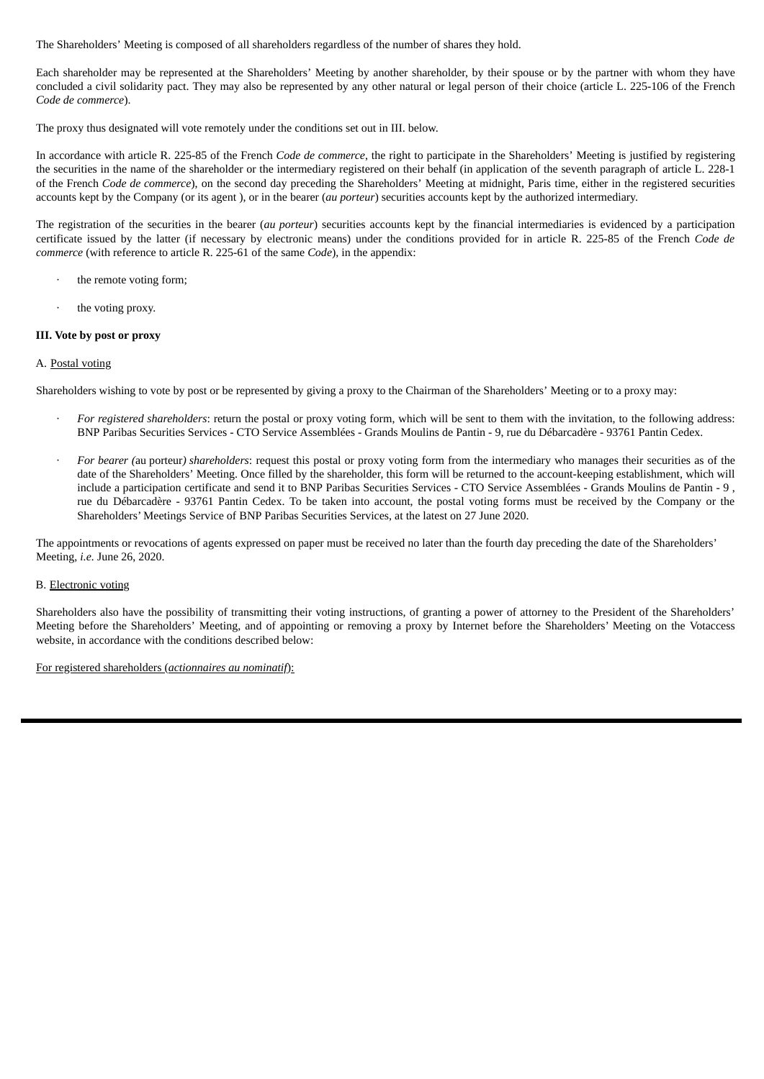The Shareholders' Meeting is composed of all shareholders regardless of the number of shares they hold.

Each shareholder may be represented at the Shareholders' Meeting by another shareholder, by their spouse or by the partner with whom they have concluded a civil solidarity pact. They may also be represented by any other natural or legal person of their choice (article L. 225-106 of the French *Code de commerce*).

The proxy thus designated will vote remotely under the conditions set out in III. below.

In accordance with article R. 225-85 of the French *Code de commerce*, the right to participate in the Shareholders' Meeting is justified by registering the securities in the name of the shareholder or the intermediary registered on their behalf (in application of the seventh paragraph of article L. 228-1 of the French *Code de commerce*), on the second day preceding the Shareholders' Meeting at midnight, Paris time, either in the registered securities accounts kept by the Company (or its agent ), or in the bearer (*au porteur*) securities accounts kept by the authorized intermediary.

The registration of the securities in the bearer (*au porteur*) securities accounts kept by the financial intermediaries is evidenced by a participation certificate issued by the latter (if necessary by electronic means) under the conditions provided for in article R. 225-85 of the French *Code de commerce* (with reference to article R. 225-61 of the same *Code*), in the appendix:

- the remote voting form;
- the voting proxy.

#### **III. Vote by post or proxy**

#### A. Postal voting

Shareholders wishing to vote by post or be represented by giving a proxy to the Chairman of the Shareholders' Meeting or to a proxy may:

- · *For registered shareholders*: return the postal or proxy voting form, which will be sent to them with the invitation, to the following address: BNP Paribas Securities Services - CTO Service Assemblées - Grands Moulins de Pantin - 9, rue du Débarcadère - 93761 Pantin Cedex.
- · *For bearer (*au porteur*) shareholders*: request this postal or proxy voting form from the intermediary who manages their securities as of the date of the Shareholders' Meeting. Once filled by the shareholder, this form will be returned to the account-keeping establishment, which will include a participation certificate and send it to BNP Paribas Securities Services - CTO Service Assemblées - Grands Moulins de Pantin - 9 , rue du Débarcadère - 93761 Pantin Cedex. To be taken into account, the postal voting forms must be received by the Company or the Shareholders' Meetings Service of BNP Paribas Securities Services, at the latest on 27 June 2020.

The appointments or revocations of agents expressed on paper must be received no later than the fourth day preceding the date of the Shareholders' Meeting, *i.e.* June 26, 2020.

#### B. Electronic voting

Shareholders also have the possibility of transmitting their voting instructions, of granting a power of attorney to the President of the Shareholders' Meeting before the Shareholders' Meeting, and of appointing or removing a proxy by Internet before the Shareholders' Meeting on the Votaccess website, in accordance with the conditions described below:

For registered shareholders (*actionnaires au nominatif*):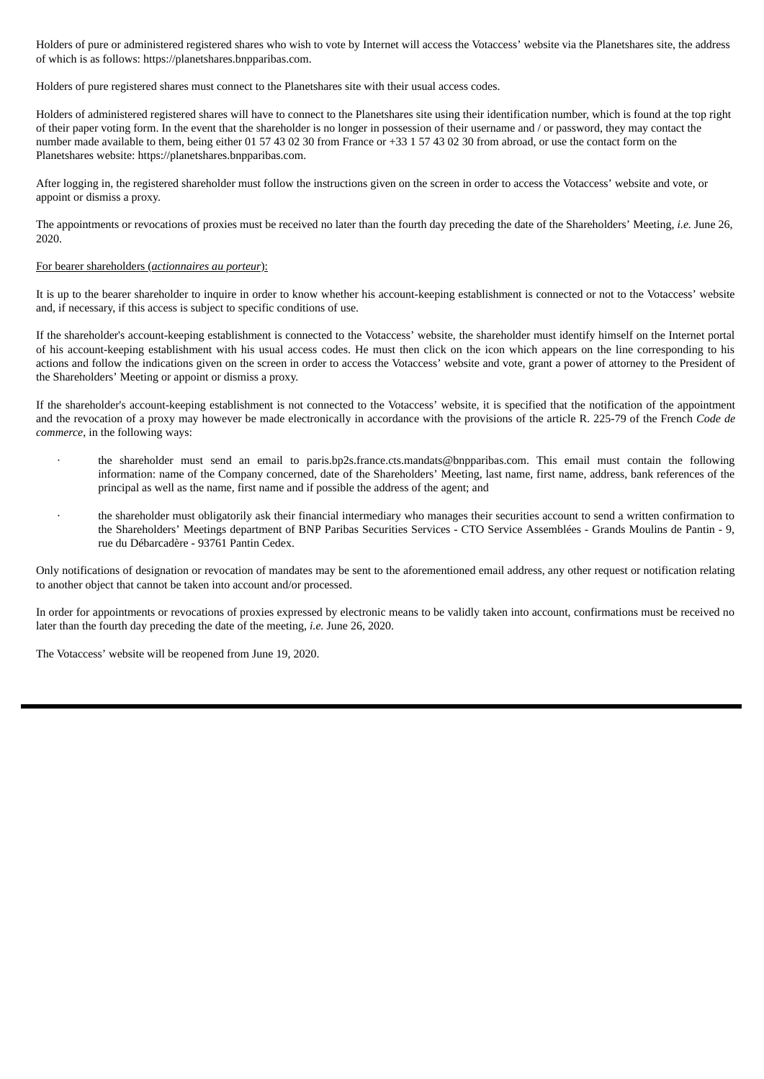Holders of pure or administered registered shares who wish to vote by Internet will access the Votaccess' website via the Planetshares site, the address of which is as follows: https://planetshares.bnpparibas.com.

Holders of pure registered shares must connect to the Planetshares site with their usual access codes.

Holders of administered registered shares will have to connect to the Planetshares site using their identification number, which is found at the top right of their paper voting form. In the event that the shareholder is no longer in possession of their username and / or password, they may contact the number made available to them, being either 01 57 43 02 30 from France or +33 1 57 43 02 30 from abroad, or use the contact form on the Planetshares website: https://planetshares.bnpparibas.com.

After logging in, the registered shareholder must follow the instructions given on the screen in order to access the Votaccess' website and vote, or appoint or dismiss a proxy.

The appointments or revocations of proxies must be received no later than the fourth day preceding the date of the Shareholders' Meeting, *i.e.* June 26, 2020.

#### For bearer shareholders (*actionnaires au porteur*):

It is up to the bearer shareholder to inquire in order to know whether his account-keeping establishment is connected or not to the Votaccess' website and, if necessary, if this access is subject to specific conditions of use.

If the shareholder's account-keeping establishment is connected to the Votaccess' website, the shareholder must identify himself on the Internet portal of his account-keeping establishment with his usual access codes. He must then click on the icon which appears on the line corresponding to his actions and follow the indications given on the screen in order to access the Votaccess' website and vote, grant a power of attorney to the President of the Shareholders' Meeting or appoint or dismiss a proxy.

If the shareholder's account-keeping establishment is not connected to the Votaccess' website, it is specified that the notification of the appointment and the revocation of a proxy may however be made electronically in accordance with the provisions of the article R. 225-79 of the French *Code de commerce*, in the following ways:

- the shareholder must send an email to paris.bp2s.france.cts.mandats@bnpparibas.com. This email must contain the following information: name of the Company concerned, date of the Shareholders' Meeting, last name, first name, address, bank references of the principal as well as the name, first name and if possible the address of the agent; and
- · the shareholder must obligatorily ask their financial intermediary who manages their securities account to send a written confirmation to the Shareholders' Meetings department of BNP Paribas Securities Services - CTO Service Assemblées - Grands Moulins de Pantin - 9, rue du Débarcadère - 93761 Pantin Cedex.

Only notifications of designation or revocation of mandates may be sent to the aforementioned email address, any other request or notification relating to another object that cannot be taken into account and/or processed.

In order for appointments or revocations of proxies expressed by electronic means to be validly taken into account, confirmations must be received no later than the fourth day preceding the date of the meeting, *i.e.* June 26, 2020.

The Votaccess' website will be reopened from June 19, 2020.